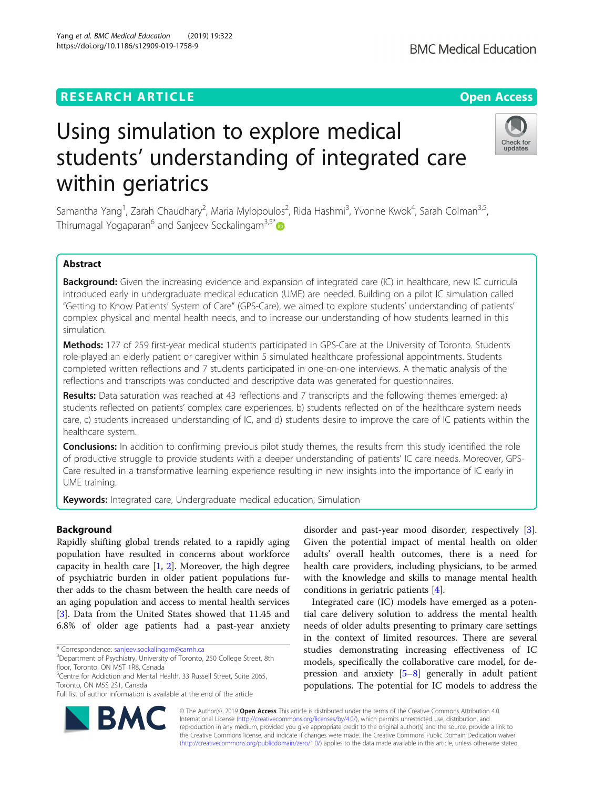## **RESEARCH ARTICLE Example 2018 12:30 THE Open Access**

# Using simulation to explore medical students' understanding of integrated care within geriatrics

Samantha Yang<sup>1</sup>, Zarah Chaudhary<sup>2</sup>, Maria Mylopoulos<sup>2</sup>, Rida Hashmi<sup>3</sup>, Yvonne Kwok<sup>4</sup>, Sarah Colman<sup>3,5</sup>, Thirumagal Yogaparan<sup>6</sup> and Sanjeev Sockalingam<sup>3,5\*</sup>

## Abstract

Background: Given the increasing evidence and expansion of integrated care (IC) in healthcare, new IC curricula introduced early in undergraduate medical education (UME) are needed. Building on a pilot IC simulation called "Getting to Know Patients' System of Care" (GPS-Care), we aimed to explore students' understanding of patients' complex physical and mental health needs, and to increase our understanding of how students learned in this simulation.

Methods: 177 of 259 first-year medical students participated in GPS-Care at the University of Toronto. Students role-played an elderly patient or caregiver within 5 simulated healthcare professional appointments. Students completed written reflections and 7 students participated in one-on-one interviews. A thematic analysis of the reflections and transcripts was conducted and descriptive data was generated for questionnaires.

Results: Data saturation was reached at 43 reflections and 7 transcripts and the following themes emerged: a) students reflected on patients' complex care experiences, b) students reflected on of the healthcare system needs care, c) students increased understanding of IC, and d) students desire to improve the care of IC patients within the healthcare system.

**Conclusions:** In addition to confirming previous pilot study themes, the results from this study identified the role of productive struggle to provide students with a deeper understanding of patients' IC care needs. Moreover, GPS-Care resulted in a transformative learning experience resulting in new insights into the importance of IC early in UME training.

Keywords: Integrated care, Undergraduate medical education, Simulation

## Background

Rapidly shifting global trends related to a rapidly aging population have resulted in concerns about workforce capacity in health care [\[1](#page-5-0), [2\]](#page-5-0). Moreover, the high degree of psychiatric burden in older patient populations further adds to the chasm between the health care needs of an aging population and access to mental health services [[3\]](#page-5-0). Data from the United States showed that 11.45 and 6.8% of older age patients had a past-year anxiety

\* Correspondence: [sanjeev.sockalingam@camh.ca](mailto:sanjeev.sockalingam@camh.ca) <sup>3</sup>

<sup>5</sup>Centre for Addiction and Mental Health, 33 Russell Street, Suite 2065, Toronto, ON M5S 2S1, Canada

Full list of author information is available at the end of the article

disorder and past-year mood disorder, respectively [\[3](#page-5-0)]. Given the potential impact of mental health on older adults' overall health outcomes, there is a need for health care providers, including physicians, to be armed with the knowledge and skills to manage mental health conditions in geriatric patients [\[4\]](#page-5-0).

Integrated care (IC) models have emerged as a potential care delivery solution to address the mental health needs of older adults presenting to primary care settings in the context of limited resources. There are several studies demonstrating increasing effectiveness of IC models, specifically the collaborative care model, for depression and anxiety [\[5](#page-5-0)–[8\]](#page-5-0) generally in adult patient populations. The potential for IC models to address the

© The Author(s). 2019 **Open Access** This article is distributed under the terms of the Creative Commons Attribution 4.0 International License [\(http://creativecommons.org/licenses/by/4.0/](http://creativecommons.org/licenses/by/4.0/)), which permits unrestricted use, distribution, and reproduction in any medium, provided you give appropriate credit to the original author(s) and the source, provide a link to the Creative Commons license, and indicate if changes were made. The Creative Commons Public Domain Dedication waiver [\(http://creativecommons.org/publicdomain/zero/1.0/](http://creativecommons.org/publicdomain/zero/1.0/)) applies to the data made available in this article, unless otherwise stated.





**BMC Medical Education** 

<sup>&</sup>lt;sup>3</sup>Department of Psychiatry, University of Toronto, 250 College Street, 8th floor, Toronto, ON M5T 1R8, Canada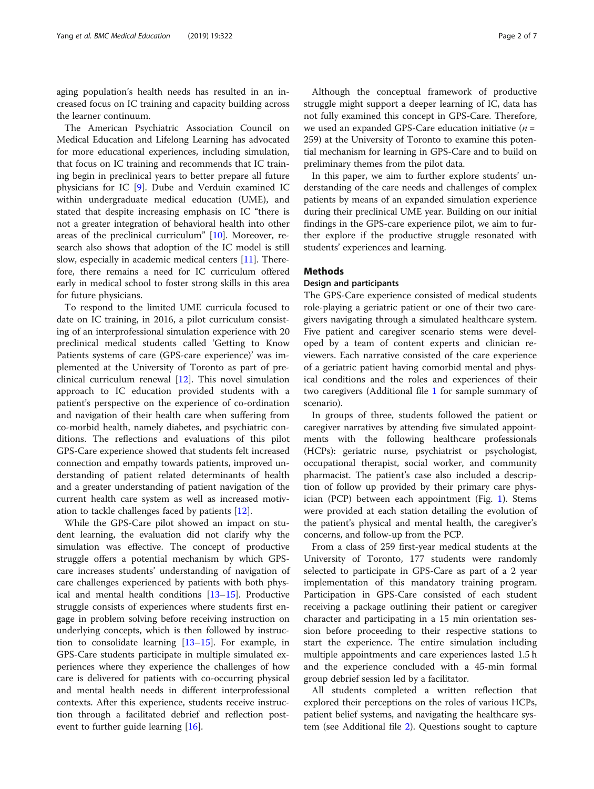aging population's health needs has resulted in an increased focus on IC training and capacity building across the learner continuum.

The American Psychiatric Association Council on Medical Education and Lifelong Learning has advocated for more educational experiences, including simulation, that focus on IC training and recommends that IC training begin in preclinical years to better prepare all future physicians for IC [\[9](#page-5-0)]. Dube and Verduin examined IC within undergraduate medical education (UME), and stated that despite increasing emphasis on IC "there is not a greater integration of behavioral health into other areas of the preclinical curriculum" [\[10](#page-6-0)]. Moreover, research also shows that adoption of the IC model is still slow, especially in academic medical centers [\[11](#page-6-0)]. Therefore, there remains a need for IC curriculum offered early in medical school to foster strong skills in this area for future physicians.

To respond to the limited UME curricula focused to date on IC training, in 2016, a pilot curriculum consisting of an interprofessional simulation experience with 20 preclinical medical students called 'Getting to Know Patients systems of care (GPS-care experience)' was implemented at the University of Toronto as part of preclinical curriculum renewal [[12\]](#page-6-0). This novel simulation approach to IC education provided students with a patient's perspective on the experience of co-ordination and navigation of their health care when suffering from co-morbid health, namely diabetes, and psychiatric conditions. The reflections and evaluations of this pilot GPS-Care experience showed that students felt increased connection and empathy towards patients, improved understanding of patient related determinants of health and a greater understanding of patient navigation of the current health care system as well as increased motivation to tackle challenges faced by patients [\[12\]](#page-6-0).

While the GPS-Care pilot showed an impact on student learning, the evaluation did not clarify why the simulation was effective. The concept of productive struggle offers a potential mechanism by which GPScare increases students' understanding of navigation of care challenges experienced by patients with both physical and mental health conditions [[13](#page-6-0)–[15](#page-6-0)]. Productive struggle consists of experiences where students first engage in problem solving before receiving instruction on underlying concepts, which is then followed by instruction to consolidate learning [\[13](#page-6-0)–[15\]](#page-6-0). For example, in GPS-Care students participate in multiple simulated experiences where they experience the challenges of how care is delivered for patients with co-occurring physical and mental health needs in different interprofessional contexts. After this experience, students receive instruction through a facilitated debrief and reflection postevent to further guide learning [[16](#page-6-0)].

Although the conceptual framework of productive struggle might support a deeper learning of IC, data has not fully examined this concept in GPS-Care. Therefore, we used an expanded GPS-Care education initiative  $(n =$ 259) at the University of Toronto to examine this potential mechanism for learning in GPS-Care and to build on preliminary themes from the pilot data.

In this paper, we aim to further explore students' understanding of the care needs and challenges of complex patients by means of an expanded simulation experience during their preclinical UME year. Building on our initial findings in the GPS-care experience pilot, we aim to further explore if the productive struggle resonated with students' experiences and learning.

## **Methods**

## Design and participants

The GPS-Care experience consisted of medical students role-playing a geriatric patient or one of their two caregivers navigating through a simulated healthcare system. Five patient and caregiver scenario stems were developed by a team of content experts and clinician reviewers. Each narrative consisted of the care experience of a geriatric patient having comorbid mental and physical conditions and the roles and experiences of their two caregivers (Additional file [1](#page-5-0) for sample summary of scenario).

In groups of three, students followed the patient or caregiver narratives by attending five simulated appointments with the following healthcare professionals (HCPs): geriatric nurse, psychiatrist or psychologist, occupational therapist, social worker, and community pharmacist. The patient's case also included a description of follow up provided by their primary care physician (PCP) between each appointment (Fig. [1\)](#page-2-0). Stems were provided at each station detailing the evolution of the patient's physical and mental health, the caregiver's concerns, and follow-up from the PCP.

From a class of 259 first-year medical students at the University of Toronto, 177 students were randomly selected to participate in GPS-Care as part of a 2 year implementation of this mandatory training program. Participation in GPS-Care consisted of each student receiving a package outlining their patient or caregiver character and participating in a 15 min orientation session before proceeding to their respective stations to start the experience. The entire simulation including multiple appointments and care experiences lasted 1.5 h and the experience concluded with a 45-min formal group debrief session led by a facilitator.

All students completed a written reflection that explored their perceptions on the roles of various HCPs, patient belief systems, and navigating the healthcare system (see Additional file [2](#page-5-0)). Questions sought to capture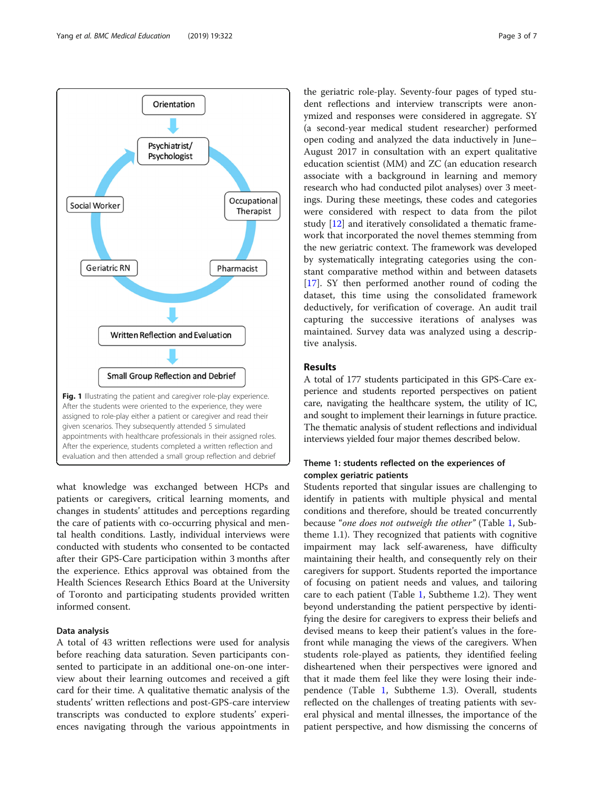<span id="page-2-0"></span>

what knowledge was exchanged between HCPs and patients or caregivers, critical learning moments, and changes in students' attitudes and perceptions regarding the care of patients with co-occurring physical and mental health conditions. Lastly, individual interviews were conducted with students who consented to be contacted after their GPS-Care participation within 3 months after the experience. Ethics approval was obtained from the Health Sciences Research Ethics Board at the University of Toronto and participating students provided written informed consent.

## Data analysis

A total of 43 written reflections were used for analysis before reaching data saturation. Seven participants consented to participate in an additional one-on-one interview about their learning outcomes and received a gift card for their time. A qualitative thematic analysis of the students' written reflections and post-GPS-care interview transcripts was conducted to explore students' experiences navigating through the various appointments in

the geriatric role-play. Seventy-four pages of typed student reflections and interview transcripts were anonymized and responses were considered in aggregate. SY (a second-year medical student researcher) performed open coding and analyzed the data inductively in June– August 2017 in consultation with an expert qualitative education scientist (MM) and ZC (an education research associate with a background in learning and memory research who had conducted pilot analyses) over 3 meetings. During these meetings, these codes and categories were considered with respect to data from the pilot study [[12\]](#page-6-0) and iteratively consolidated a thematic framework that incorporated the novel themes stemming from the new geriatric context. The framework was developed by systematically integrating categories using the constant comparative method within and between datasets [[17\]](#page-6-0). SY then performed another round of coding the dataset, this time using the consolidated framework deductively, for verification of coverage. An audit trail capturing the successive iterations of analyses was maintained. Survey data was analyzed using a descriptive analysis.

## Results

A total of 177 students participated in this GPS-Care experience and students reported perspectives on patient care, navigating the healthcare system, the utility of IC, and sought to implement their learnings in future practice. The thematic analysis of student reflections and individual interviews yielded four major themes described below.

## Theme 1: students reflected on the experiences of complex geriatric patients

Students reported that singular issues are challenging to identify in patients with multiple physical and mental conditions and therefore, should be treated concurrently because "one does not outweigh the other" (Table [1](#page-3-0), Subtheme 1.1). They recognized that patients with cognitive impairment may lack self-awareness, have difficulty maintaining their health, and consequently rely on their caregivers for support. Students reported the importance of focusing on patient needs and values, and tailoring care to each patient (Table [1](#page-3-0), Subtheme 1.2). They went beyond understanding the patient perspective by identifying the desire for caregivers to express their beliefs and devised means to keep their patient's values in the forefront while managing the views of the caregivers. When students role-played as patients, they identified feeling disheartened when their perspectives were ignored and that it made them feel like they were losing their independence (Table [1](#page-3-0), Subtheme 1.3). Overall, students reflected on the challenges of treating patients with several physical and mental illnesses, the importance of the patient perspective, and how dismissing the concerns of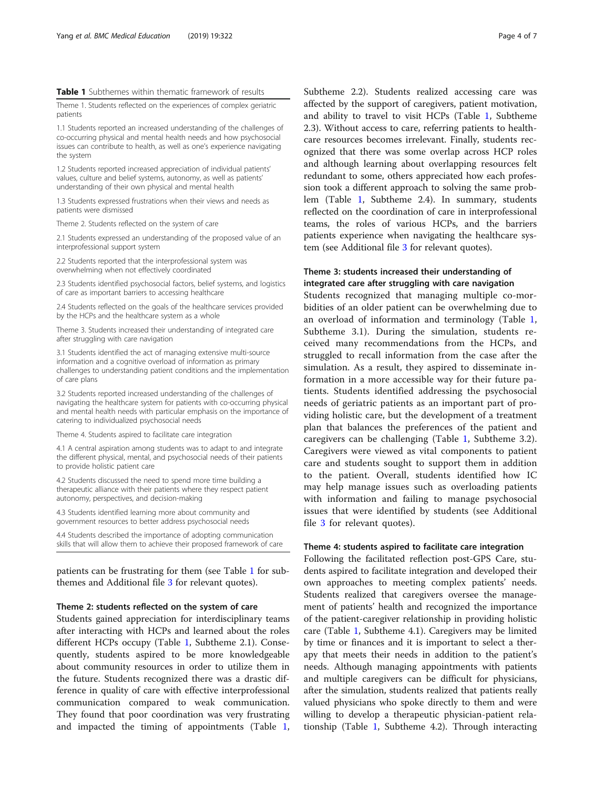#### <span id="page-3-0"></span>Table 1 Subthemes within thematic framework of results

Theme 1. Students reflected on the experiences of complex geriatric patients

1.1 Students reported an increased understanding of the challenges of co-occurring physical and mental health needs and how psychosocial issues can contribute to health, as well as one's experience navigating the system

1.2 Students reported increased appreciation of individual patients' values, culture and belief systems, autonomy, as well as patients' understanding of their own physical and mental health

1.3 Students expressed frustrations when their views and needs as patients were dismissed

Theme 2. Students reflected on the system of care

2.1 Students expressed an understanding of the proposed value of an interprofessional support system

2.2 Students reported that the interprofessional system was overwhelming when not effectively coordinated

2.3 Students identified psychosocial factors, belief systems, and logistics of care as important barriers to accessing healthcare

2.4 Students reflected on the goals of the healthcare services provided by the HCPs and the healthcare system as a whole

Theme 3. Students increased their understanding of integrated care after struggling with care navigation

3.1 Students identified the act of managing extensive multi-source information and a cognitive overload of information as primary challenges to understanding patient conditions and the implementation of care plans

3.2 Students reported increased understanding of the challenges of navigating the healthcare system for patients with co-occurring physical and mental health needs with particular emphasis on the importance of catering to individualized psychosocial needs

Theme 4. Students aspired to facilitate care integration

4.1 A central aspiration among students was to adapt to and integrate the different physical, mental, and psychosocial needs of their patients to provide holistic patient care

4.2 Students discussed the need to spend more time building a therapeutic alliance with their patients where they respect patient autonomy, perspectives, and decision-making

4.3 Students identified learning more about community and government resources to better address psychosocial needs

4.4 Students described the importance of adopting communication skills that will allow them to achieve their proposed framework of care

patients can be frustrating for them (see Table 1 for subthemes and Additional file [3](#page-5-0) for relevant quotes).

#### Theme 2: students reflected on the system of care

Students gained appreciation for interdisciplinary teams after interacting with HCPs and learned about the roles different HCPs occupy (Table 1, Subtheme 2.1). Consequently, students aspired to be more knowledgeable about community resources in order to utilize them in the future. Students recognized there was a drastic difference in quality of care with effective interprofessional communication compared to weak communication. They found that poor coordination was very frustrating and impacted the timing of appointments (Table 1,

Subtheme 2.2). Students realized accessing care was affected by the support of caregivers, patient motivation, and ability to travel to visit HCPs (Table 1, Subtheme 2.3). Without access to care, referring patients to healthcare resources becomes irrelevant. Finally, students recognized that there was some overlap across HCP roles and although learning about overlapping resources felt redundant to some, others appreciated how each profession took a different approach to solving the same problem (Table 1, Subtheme 2.4). In summary, students reflected on the coordination of care in interprofessional teams, the roles of various HCPs, and the barriers patients experience when navigating the healthcare system (see Additional file [3](#page-5-0) for relevant quotes).

## Theme 3: students increased their understanding of integrated care after struggling with care navigation

Students recognized that managing multiple co-morbidities of an older patient can be overwhelming due to an overload of information and terminology (Table 1, Subtheme 3.1). During the simulation, students received many recommendations from the HCPs, and struggled to recall information from the case after the simulation. As a result, they aspired to disseminate information in a more accessible way for their future patients. Students identified addressing the psychosocial needs of geriatric patients as an important part of providing holistic care, but the development of a treatment plan that balances the preferences of the patient and caregivers can be challenging (Table 1, Subtheme 3.2). Caregivers were viewed as vital components to patient care and students sought to support them in addition to the patient. Overall, students identified how IC may help manage issues such as overloading patients with information and failing to manage psychosocial issues that were identified by students (see Additional file [3](#page-5-0) for relevant quotes).

#### Theme 4: students aspired to facilitate care integration

Following the facilitated reflection post-GPS Care, students aspired to facilitate integration and developed their own approaches to meeting complex patients' needs. Students realized that caregivers oversee the management of patients' health and recognized the importance of the patient-caregiver relationship in providing holistic care (Table 1, Subtheme 4.1). Caregivers may be limited by time or finances and it is important to select a therapy that meets their needs in addition to the patient's needs. Although managing appointments with patients and multiple caregivers can be difficult for physicians, after the simulation, students realized that patients really valued physicians who spoke directly to them and were willing to develop a therapeutic physician-patient relationship (Table 1, Subtheme 4.2). Through interacting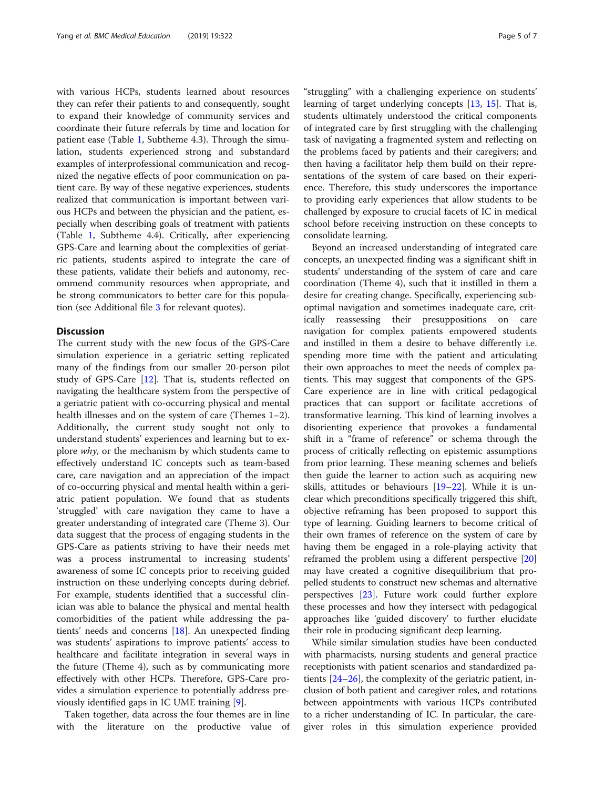with various HCPs, students learned about resources they can refer their patients to and consequently, sought to expand their knowledge of community services and coordinate their future referrals by time and location for patient ease (Table [1](#page-3-0), Subtheme 4.3). Through the simulation, students experienced strong and substandard examples of interprofessional communication and recognized the negative effects of poor communication on patient care. By way of these negative experiences, students realized that communication is important between various HCPs and between the physician and the patient, especially when describing goals of treatment with patients (Table [1](#page-3-0), Subtheme 4.4). Critically, after experiencing GPS-Care and learning about the complexities of geriatric patients, students aspired to integrate the care of these patients, validate their beliefs and autonomy, recommend community resources when appropriate, and be strong communicators to better care for this population (see Additional file [3](#page-5-0) for relevant quotes).

## **Discussion**

The current study with the new focus of the GPS-Care simulation experience in a geriatric setting replicated many of the findings from our smaller 20-person pilot study of GPS-Care [\[12](#page-6-0)]. That is, students reflected on navigating the healthcare system from the perspective of a geriatric patient with co-occurring physical and mental health illnesses and on the system of care (Themes 1–2). Additionally, the current study sought not only to understand students' experiences and learning but to explore why, or the mechanism by which students came to effectively understand IC concepts such as team-based care, care navigation and an appreciation of the impact of co-occurring physical and mental health within a geriatric patient population. We found that as students 'struggled' with care navigation they came to have a greater understanding of integrated care (Theme 3). Our data suggest that the process of engaging students in the GPS-Care as patients striving to have their needs met was a process instrumental to increasing students' awareness of some IC concepts prior to receiving guided instruction on these underlying concepts during debrief. For example, students identified that a successful clinician was able to balance the physical and mental health comorbidities of the patient while addressing the patients' needs and concerns [\[18](#page-6-0)]. An unexpected finding was students' aspirations to improve patients' access to healthcare and facilitate integration in several ways in the future (Theme 4), such as by communicating more effectively with other HCPs. Therefore, GPS-Care provides a simulation experience to potentially address previously identified gaps in IC UME training [[9\]](#page-5-0).

Taken together, data across the four themes are in line with the literature on the productive value of

"struggling" with a challenging experience on students' learning of target underlying concepts [[13,](#page-6-0) [15](#page-6-0)]. That is, students ultimately understood the critical components of integrated care by first struggling with the challenging task of navigating a fragmented system and reflecting on the problems faced by patients and their caregivers; and then having a facilitator help them build on their representations of the system of care based on their experience. Therefore, this study underscores the importance to providing early experiences that allow students to be challenged by exposure to crucial facets of IC in medical school before receiving instruction on these concepts to consolidate learning.

Beyond an increased understanding of integrated care concepts, an unexpected finding was a significant shift in students' understanding of the system of care and care coordination (Theme 4), such that it instilled in them a desire for creating change. Specifically, experiencing suboptimal navigation and sometimes inadequate care, critically reassessing their presuppositions on care navigation for complex patients empowered students and instilled in them a desire to behave differently i.e. spending more time with the patient and articulating their own approaches to meet the needs of complex patients. This may suggest that components of the GPS-Care experience are in line with critical pedagogical practices that can support or facilitate accretions of transformative learning. This kind of learning involves a disorienting experience that provokes a fundamental shift in a "frame of reference" or schema through the process of critically reflecting on epistemic assumptions from prior learning. These meaning schemes and beliefs then guide the learner to action such as acquiring new skills, attitudes or behaviours [\[19](#page-6-0)–[22](#page-6-0)]. While it is unclear which preconditions specifically triggered this shift, objective reframing has been proposed to support this type of learning. Guiding learners to become critical of their own frames of reference on the system of care by having them be engaged in a role-playing activity that reframed the problem using a different perspective [[20](#page-6-0)] may have created a cognitive disequilibrium that propelled students to construct new schemas and alternative perspectives [[23](#page-6-0)]. Future work could further explore these processes and how they intersect with pedagogical approaches like 'guided discovery' to further elucidate their role in producing significant deep learning.

While similar simulation studies have been conducted with pharmacists, nursing students and general practice receptionists with patient scenarios and standardized patients [\[24](#page-6-0)–[26\]](#page-6-0), the complexity of the geriatric patient, inclusion of both patient and caregiver roles, and rotations between appointments with various HCPs contributed to a richer understanding of IC. In particular, the caregiver roles in this simulation experience provided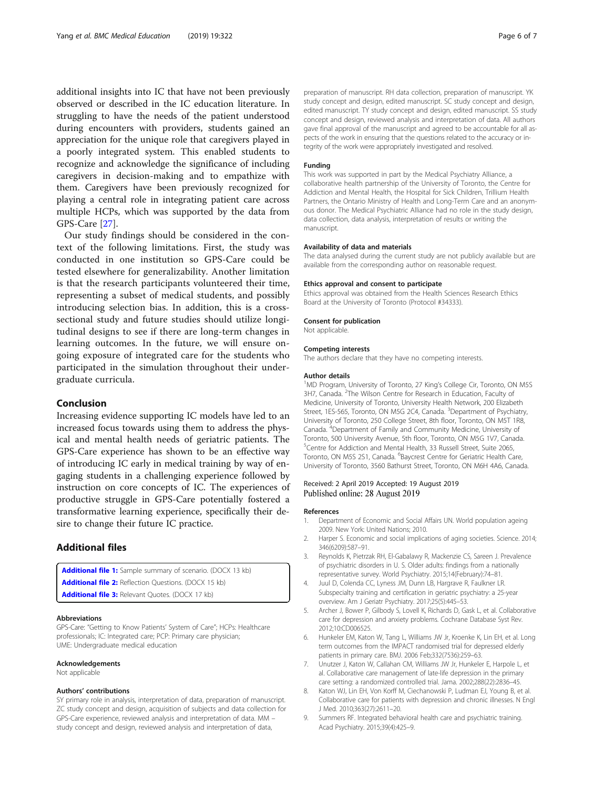<span id="page-5-0"></span>additional insights into IC that have not been previously observed or described in the IC education literature. In struggling to have the needs of the patient understood during encounters with providers, students gained an appreciation for the unique role that caregivers played in a poorly integrated system. This enabled students to recognize and acknowledge the significance of including caregivers in decision-making and to empathize with them. Caregivers have been previously recognized for playing a central role in integrating patient care across multiple HCPs, which was supported by the data from GPS-Care [\[27](#page-6-0)].

Our study findings should be considered in the context of the following limitations. First, the study was conducted in one institution so GPS-Care could be tested elsewhere for generalizability. Another limitation is that the research participants volunteered their time, representing a subset of medical students, and possibly introducing selection bias. In addition, this is a crosssectional study and future studies should utilize longitudinal designs to see if there are long-term changes in learning outcomes. In the future, we will ensure ongoing exposure of integrated care for the students who participated in the simulation throughout their undergraduate curricula.

### Conclusion

Increasing evidence supporting IC models have led to an increased focus towards using them to address the physical and mental health needs of geriatric patients. The GPS-Care experience has shown to be an effective way of introducing IC early in medical training by way of engaging students in a challenging experience followed by instruction on core concepts of IC. The experiences of productive struggle in GPS-Care potentially fostered a transformative learning experience, specifically their desire to change their future IC practice.

## Additional files

[Additional file 1:](https://doi.org/10.1186/s12909-019-1758-9) Sample summary of scenario. (DOCX 13 kb) [Additional file 2:](https://doi.org/10.1186/s12909-019-1758-9) Reflection Questions. (DOCX 15 kb)

[Additional file 3:](https://doi.org/10.1186/s12909-019-1758-9) Relevant Quotes. (DOCX 17 kb)

#### Abbreviations

GPS-Care: "Getting to Know Patients' System of Care"; HCPs: Healthcare professionals; IC: Integrated care; PCP: Primary care physician; UME: Undergraduate medical education

#### Acknowledgements

Not applicable

#### Authors' contributions

SY primary role in analysis, interpretation of data, preparation of manuscript. ZC study concept and design, acquisition of subjects and data collection for GPS-Care experience, reviewed analysis and interpretation of data. MM – study concept and design, reviewed analysis and interpretation of data,

preparation of manuscript. RH data collection, preparation of manuscript. YK study concept and design, edited manuscript. SC study concept and design, edited manuscript. TY study concept and design, edited manuscript. SS study concept and design, reviewed analysis and interpretation of data. All authors gave final approval of the manuscript and agreed to be accountable for all aspects of the work in ensuring that the questions related to the accuracy or integrity of the work were appropriately investigated and resolved.

#### Funding

This work was supported in part by the Medical Psychiatry Alliance, a collaborative health partnership of the University of Toronto, the Centre for Addiction and Mental Health, the Hospital for Sick Children, Trillium Health Partners, the Ontario Ministry of Health and Long-Term Care and an anonymous donor. The Medical Psychiatric Alliance had no role in the study design, data collection, data analysis, interpretation of results or writing the manuscript.

#### Availability of data and materials

The data analysed during the current study are not publicly available but are available from the corresponding author on reasonable request.

#### Ethics approval and consent to participate

Ethics approval was obtained from the Health Sciences Research Ethics Board at the University of Toronto (Protocol #34333).

#### Consent for publication

Not applicable.

#### Competing interests

The authors declare that they have no competing interests.

#### Author details

<sup>1</sup>MD Program, University of Toronto, 27 King's College Cir, Toronto, ON M5S 3H7, Canada. <sup>2</sup>The Wilson Centre for Research in Education, Faculty of Medicine, University of Toronto, University Health Network, 200 Elizabeth Street, 1ES-565, Toronto, ON M5G 2C4, Canada. <sup>3</sup>Department of Psychiatry, University of Toronto, 250 College Street, 8th floor, Toronto, ON M5T 1R8, Canada. <sup>4</sup>Department of Family and Community Medicine, University of Toronto, 500 University Avenue, 5th floor, Toronto, ON M5G 1V7, Canada. 5 Centre for Addiction and Mental Health, 33 Russell Street, Suite 2065, Toronto, ON M5S 2S1, Canada. <sup>6</sup>Baycrest Centre for Geriatric Health Care University of Toronto, 3560 Bathurst Street, Toronto, ON M6H 4A6, Canada.

#### Received: 2 April 2019 Accepted: 19 August 2019 Published online: 28 August 2019

#### References

- 1. Department of Economic and Social Affairs UN. World population ageing 2009. New York: United Nations; 2010.
- 2. Harper S. Economic and social implications of aging societies. Science. 2014; 346(6209):587–91.
- 3. Reynolds K, Pietrzak RH, El-Gabalawy R, Mackenzie CS, Sareen J. Prevalence of psychiatric disorders in U. S. Older adults: findings from a nationally representative survey. World Psychiatry. 2015;14(February):74–81.
- 4. Juul D, Colenda CC, Lyness JM, Dunn LB, Hargrave R, Faulkner LR. Subspecialty training and certification in geriatric psychiatry: a 25-year overview. Am J Geriatr Psychiatry. 2017;25(5):445–53.
- 5. Archer J, Bower P, Gilbody S, Lovell K, Richards D, Gask L, et al. Collaborative care for depression and anxiety problems. Cochrane Database Syst Rev. 2012;10:CD006525.
- 6. Hunkeler EM, Katon W, Tang L, Williams JW Jr, Kroenke K, Lin EH, et al. Long term outcomes from the IMPACT randomised trial for depressed elderly patients in primary care. BMJ. 2006 Feb;332(7536):259–63.
- 7. Unutzer J, Katon W, Callahan CM, Williams JW Jr, Hunkeler E, Harpole L, et al. Collaborative care management of late-life depression in the primary care setting: a randomized controlled trial. Jama. 2002;288(22):2836–45.
- Katon WJ, Lin EH, Von Korff M, Ciechanowski P, Ludman EJ, Young B, et al. Collaborative care for patients with depression and chronic illnesses. N Engl J Med. 2010;363(27):2611–20.
- 9. Summers RF. Integrated behavioral health care and psychiatric training. Acad Psychiatry. 2015;39(4):425–9.